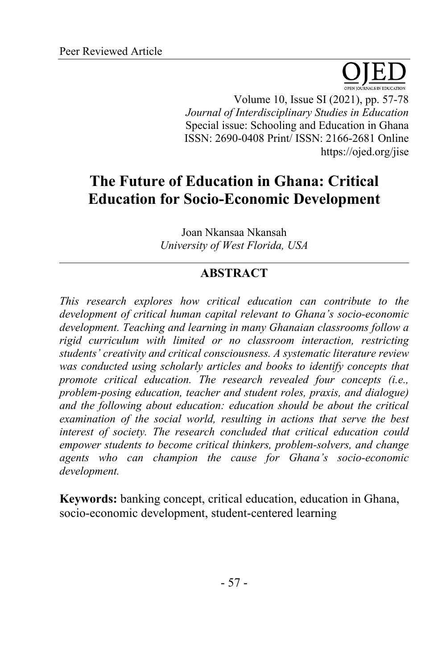Volume 10, Issue SI (2021), pp. 57-78 *Journal of Interdisciplinary Studies in Education* Special issue: Schooling and Education in Ghana ISSN: 2690-0408 Print/ ISSN: 2166-2681 Online https://ojed.org/jise

# **The Future of Education in Ghana: Critical Education for Socio-Economic Development**

Joan Nkansaa Nkansah *University of West Florida, USA*

## **ABSTRACT**

*This research explores how critical education can contribute to the development of critical human capital relevant to Ghana's socio-economic development. Teaching and learning in many Ghanaian classrooms follow a rigid curriculum with limited or no classroom interaction, restricting students' creativity and critical consciousness. A systematic literature review was conducted using scholarly articles and books to identify concepts that promote critical education. The research revealed four concepts (i.e., problem-posing education, teacher and student roles, praxis, and dialogue) and the following about education: education should be about the critical examination of the social world, resulting in actions that serve the best interest of society. The research concluded that critical education could empower students to become critical thinkers, problem-solvers, and change agents who can champion the cause for Ghana's socio-economic development.*

**Keywords:** banking concept, critical education, education in Ghana, socio-economic development, student-centered learning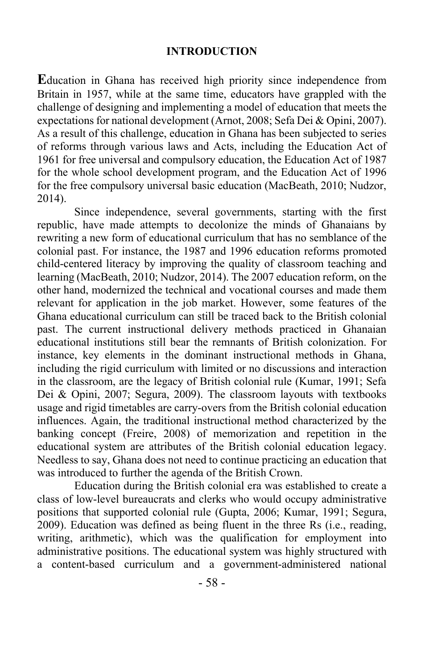#### **INTRODUCTION**

**E**ducation in Ghana has received high priority since independence from Britain in 1957, while at the same time, educators have grappled with the challenge of designing and implementing a model of education that meets the expectations for national development (Arnot, 2008; Sefa Dei & Opini, 2007). As a result of this challenge, education in Ghana has been subjected to series of reforms through various laws and Acts, including the Education Act of 1961 for free universal and compulsory education, the Education Act of 1987 for the whole school development program, and the Education Act of 1996 for the free compulsory universal basic education (MacBeath, 2010; Nudzor, 2014).

Since independence, several governments, starting with the first republic, have made attempts to decolonize the minds of Ghanaians by rewriting a new form of educational curriculum that has no semblance of the colonial past. For instance, the 1987 and 1996 education reforms promoted child-centered literacy by improving the quality of classroom teaching and learning (MacBeath, 2010; Nudzor, 2014). The 2007 education reform, on the other hand, modernized the technical and vocational courses and made them relevant for application in the job market. However, some features of the Ghana educational curriculum can still be traced back to the British colonial past. The current instructional delivery methods practiced in Ghanaian educational institutions still bear the remnants of British colonization. For instance, key elements in the dominant instructional methods in Ghana, including the rigid curriculum with limited or no discussions and interaction in the classroom, are the legacy of British colonial rule (Kumar, 1991; Sefa Dei & Opini, 2007; Segura, 2009). The classroom layouts with textbooks usage and rigid timetables are carry-overs from the British colonial education influences. Again, the traditional instructional method characterized by the banking concept (Freire, 2008) of memorization and repetition in the educational system are attributes of the British colonial education legacy. Needless to say, Ghana does not need to continue practicing an education that was introduced to further the agenda of the British Crown.

Education during the British colonial era was established to create a class of low-level bureaucrats and clerks who would occupy administrative positions that supported colonial rule (Gupta, 2006; Kumar, 1991; Segura, 2009). Education was defined as being fluent in the three Rs (i.e., reading, writing, arithmetic), which was the qualification for employment into administrative positions. The educational system was highly structured with a content-based curriculum and a government-administered national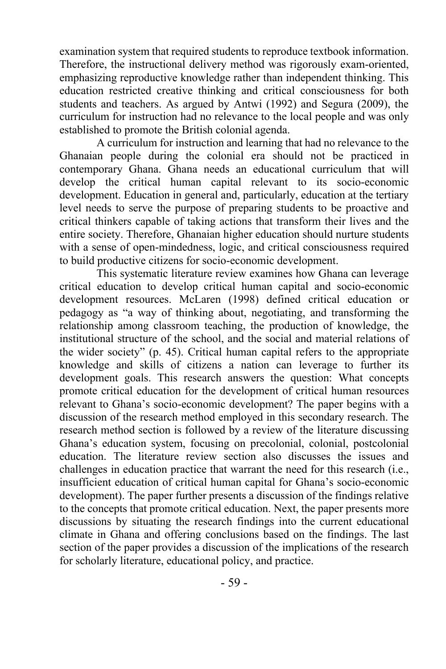examination system that required students to reproduce textbook information. Therefore, the instructional delivery method was rigorously exam-oriented, emphasizing reproductive knowledge rather than independent thinking. This education restricted creative thinking and critical consciousness for both students and teachers. As argued by Antwi (1992) and Segura (2009), the curriculum for instruction had no relevance to the local people and was only established to promote the British colonial agenda.

A curriculum for instruction and learning that had no relevance to the Ghanaian people during the colonial era should not be practiced in contemporary Ghana. Ghana needs an educational curriculum that will develop the critical human capital relevant to its socio-economic development. Education in general and, particularly, education at the tertiary level needs to serve the purpose of preparing students to be proactive and critical thinkers capable of taking actions that transform their lives and the entire society. Therefore, Ghanaian higher education should nurture students with a sense of open-mindedness, logic, and critical consciousness required to build productive citizens for socio-economic development.

This systematic literature review examines how Ghana can leverage critical education to develop critical human capital and socio-economic development resources. McLaren (1998) defined critical education or pedagogy as "a way of thinking about, negotiating, and transforming the relationship among classroom teaching, the production of knowledge, the institutional structure of the school, and the social and material relations of the wider society" (p. 45). Critical human capital refers to the appropriate knowledge and skills of citizens a nation can leverage to further its development goals. This research answers the question: What concepts promote critical education for the development of critical human resources relevant to Ghana's socio-economic development? The paper begins with a discussion of the research method employed in this secondary research. The research method section is followed by a review of the literature discussing Ghana's education system, focusing on precolonial, colonial, postcolonial education. The literature review section also discusses the issues and challenges in education practice that warrant the need for this research (i.e., insufficient education of critical human capital for Ghana's socio-economic development). The paper further presents a discussion of the findings relative to the concepts that promote critical education. Next, the paper presents more discussions by situating the research findings into the current educational climate in Ghana and offering conclusions based on the findings. The last section of the paper provides a discussion of the implications of the research for scholarly literature, educational policy, and practice.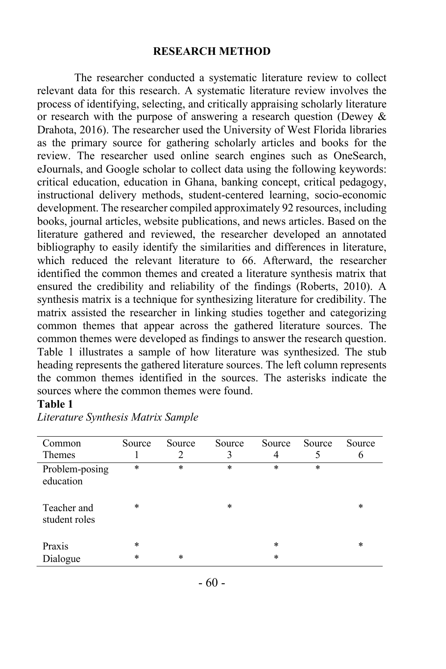#### **RESEARCH METHOD**

The researcher conducted a systematic literature review to collect relevant data for this research. A systematic literature review involves the process of identifying, selecting, and critically appraising scholarly literature or research with the purpose of answering a research question (Dewey  $\&$ Drahota, 2016). The researcher used the University of West Florida libraries as the primary source for gathering scholarly articles and books for the review. The researcher used online search engines such as OneSearch, eJournals, and Google scholar to collect data using the following keywords: critical education, education in Ghana, banking concept, critical pedagogy, instructional delivery methods, student-centered learning, socio-economic development. The researcher compiled approximately 92 resources, including books, journal articles, website publications, and news articles. Based on the literature gathered and reviewed, the researcher developed an annotated bibliography to easily identify the similarities and differences in literature, which reduced the relevant literature to 66. Afterward, the researcher identified the common themes and created a literature synthesis matrix that ensured the credibility and reliability of the findings (Roberts, 2010). A synthesis matrix is a technique for synthesizing literature for credibility. The matrix assisted the researcher in linking studies together and categorizing common themes that appear across the gathered literature sources. The common themes were developed as findings to answer the research question. Table 1 illustrates a sample of how literature was synthesized. The stub heading represents the gathered literature sources. The left column represents the common themes identified in the sources. The asterisks indicate the sources where the common themes were found.

## **Table 1**

| Common                       | Source | Source | Source | Source | Source | Source |
|------------------------------|--------|--------|--------|--------|--------|--------|
| Themes                       |        |        | 3      |        |        | O      |
| Problem-posing<br>education  | $\ast$ | $\ast$ | *      | *      | $\ast$ |        |
| Teacher and<br>student roles | $\ast$ |        | $\ast$ |        |        | $\ast$ |
| Praxis                       | $\ast$ |        |        | $\ast$ |        | $\ast$ |
| Dialogue                     | $\ast$ | $\ast$ |        | $\ast$ |        |        |

*Literature Synthesis Matrix Sample*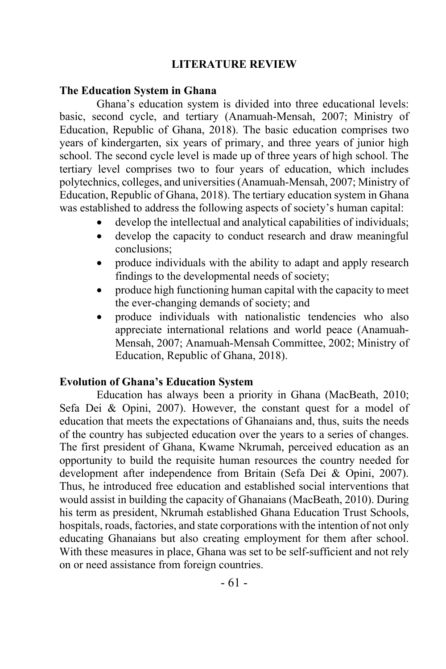## **LITERATURE REVIEW**

### **The Education System in Ghana**

Ghana's education system is divided into three educational levels: basic, second cycle, and tertiary (Anamuah-Mensah, 2007; Ministry of Education, Republic of Ghana, 2018). The basic education comprises two years of kindergarten, six years of primary, and three years of junior high school. The second cycle level is made up of three years of high school. The tertiary level comprises two to four years of education, which includes polytechnics, colleges, and universities (Anamuah-Mensah, 2007; Ministry of Education, Republic of Ghana, 2018). The tertiary education system in Ghana was established to address the following aspects of society's human capital:

- develop the intellectual and analytical capabilities of individuals;
- develop the capacity to conduct research and draw meaningful conclusions;
- produce individuals with the ability to adapt and apply research findings to the developmental needs of society;
- produce high functioning human capital with the capacity to meet the ever-changing demands of society; and
- produce individuals with nationalistic tendencies who also appreciate international relations and world peace (Anamuah-Mensah, 2007; Anamuah-Mensah Committee, 2002; Ministry of Education, Republic of Ghana, 2018).

## **Evolution of Ghana's Education System**

Education has always been a priority in Ghana (MacBeath, 2010; Sefa Dei & Opini, 2007). However, the constant quest for a model of education that meets the expectations of Ghanaians and, thus, suits the needs of the country has subjected education over the years to a series of changes. The first president of Ghana, Kwame Nkrumah, perceived education as an opportunity to build the requisite human resources the country needed for development after independence from Britain (Sefa Dei & Opini, 2007). Thus, he introduced free education and established social interventions that would assist in building the capacity of Ghanaians (MacBeath, 2010). During his term as president, Nkrumah established Ghana Education Trust Schools, hospitals, roads, factories, and state corporations with the intention of not only educating Ghanaians but also creating employment for them after school. With these measures in place, Ghana was set to be self-sufficient and not rely on or need assistance from foreign countries.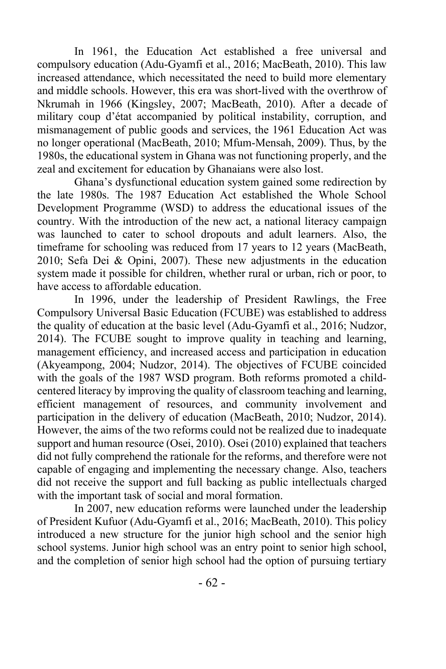In 1961, the Education Act established a free universal and compulsory education (Adu-Gyamfi et al., 2016; MacBeath, 2010). This law increased attendance, which necessitated the need to build more elementary and middle schools. However, this era was short-lived with the overthrow of Nkrumah in 1966 (Kingsley, 2007; MacBeath, 2010). After a decade of military coup d'état accompanied by political instability, corruption, and mismanagement of public goods and services, the 1961 Education Act was no longer operational (MacBeath, 2010; Mfum-Mensah, 2009). Thus, by the 1980s, the educational system in Ghana was not functioning properly, and the zeal and excitement for education by Ghanaians were also lost.

Ghana's dysfunctional education system gained some redirection by the late 1980s. The 1987 Education Act established the Whole School Development Programme (WSD) to address the educational issues of the country. With the introduction of the new act, a national literacy campaign was launched to cater to school dropouts and adult learners. Also, the timeframe for schooling was reduced from 17 years to 12 years (MacBeath, 2010; Sefa Dei & Opini, 2007). These new adjustments in the education system made it possible for children, whether rural or urban, rich or poor, to have access to affordable education.

In 1996, under the leadership of President Rawlings, the Free Compulsory Universal Basic Education (FCUBE) was established to address the quality of education at the basic level (Adu-Gyamfi et al., 2016; Nudzor, 2014). The FCUBE sought to improve quality in teaching and learning, management efficiency, and increased access and participation in education (Akyeampong, 2004; Nudzor, 2014). The objectives of FCUBE coincided with the goals of the 1987 WSD program. Both reforms promoted a childcentered literacy by improving the quality of classroom teaching and learning, efficient management of resources, and community involvement and participation in the delivery of education (MacBeath, 2010; Nudzor, 2014). However, the aims of the two reforms could not be realized due to inadequate support and human resource (Osei, 2010). Osei (2010) explained that teachers did not fully comprehend the rationale for the reforms, and therefore were not capable of engaging and implementing the necessary change. Also, teachers did not receive the support and full backing as public intellectuals charged with the important task of social and moral formation.

In 2007, new education reforms were launched under the leadership of President Kufuor (Adu-Gyamfi et al., 2016; MacBeath, 2010). This policy introduced a new structure for the junior high school and the senior high school systems. Junior high school was an entry point to senior high school, and the completion of senior high school had the option of pursuing tertiary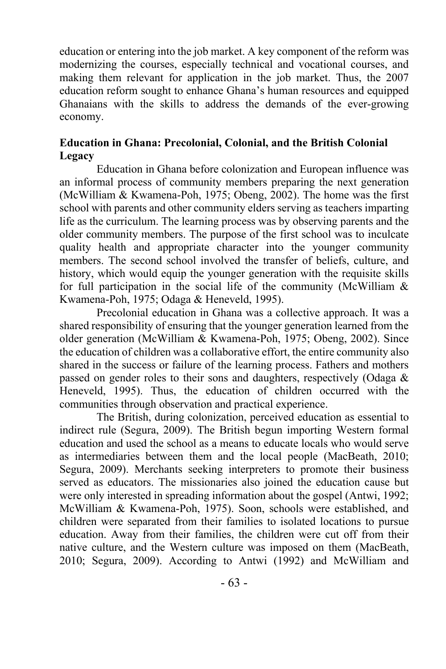education or entering into the job market. A key component of the reform was modernizing the courses, especially technical and vocational courses, and making them relevant for application in the job market. Thus, the 2007 education reform sought to enhance Ghana's human resources and equipped Ghanaians with the skills to address the demands of the ever-growing economy.

## **Education in Ghana: Precolonial, Colonial, and the British Colonial Legacy**

Education in Ghana before colonization and European influence was an informal process of community members preparing the next generation (McWilliam & Kwamena-Poh, 1975; Obeng, 2002). The home was the first school with parents and other community elders serving as teachers imparting life as the curriculum. The learning process was by observing parents and the older community members. The purpose of the first school was to inculcate quality health and appropriate character into the younger community members. The second school involved the transfer of beliefs, culture, and history, which would equip the younger generation with the requisite skills for full participation in the social life of the community (McWilliam  $\&$ Kwamena-Poh, 1975; Odaga & Heneveld, 1995).

Precolonial education in Ghana was a collective approach. It was a shared responsibility of ensuring that the younger generation learned from the older generation (McWilliam & Kwamena-Poh, 1975; Obeng, 2002). Since the education of children was a collaborative effort, the entire community also shared in the success or failure of the learning process. Fathers and mothers passed on gender roles to their sons and daughters, respectively (Odaga & Heneveld, 1995). Thus, the education of children occurred with the communities through observation and practical experience.

The British, during colonization, perceived education as essential to indirect rule (Segura, 2009). The British begun importing Western formal education and used the school as a means to educate locals who would serve as intermediaries between them and the local people (MacBeath, 2010; Segura, 2009). Merchants seeking interpreters to promote their business served as educators. The missionaries also joined the education cause but were only interested in spreading information about the gospel (Antwi, 1992; McWilliam & Kwamena-Poh, 1975). Soon, schools were established, and children were separated from their families to isolated locations to pursue education. Away from their families, the children were cut off from their native culture, and the Western culture was imposed on them (MacBeath, 2010; Segura, 2009). According to Antwi (1992) and McWilliam and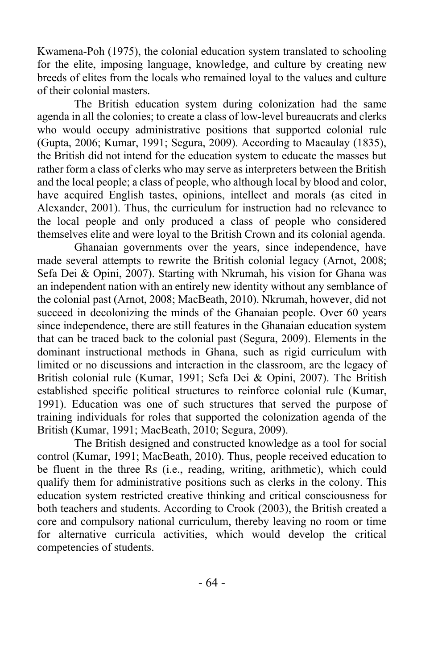Kwamena-Poh (1975), the colonial education system translated to schooling for the elite, imposing language, knowledge, and culture by creating new breeds of elites from the locals who remained loyal to the values and culture of their colonial masters.

The British education system during colonization had the same agenda in all the colonies; to create a class of low-level bureaucrats and clerks who would occupy administrative positions that supported colonial rule (Gupta, 2006; Kumar, 1991; Segura, 2009). According to Macaulay (1835), the British did not intend for the education system to educate the masses but rather form a class of clerks who may serve as interpreters between the British and the local people; a class of people, who although local by blood and color, have acquired English tastes, opinions, intellect and morals (as cited in Alexander, 2001). Thus, the curriculum for instruction had no relevance to the local people and only produced a class of people who considered themselves elite and were loyal to the British Crown and its colonial agenda.

Ghanaian governments over the years, since independence, have made several attempts to rewrite the British colonial legacy (Arnot, 2008; Sefa Dei & Opini, 2007). Starting with Nkrumah, his vision for Ghana was an independent nation with an entirely new identity without any semblance of the colonial past (Arnot, 2008; MacBeath, 2010). Nkrumah, however, did not succeed in decolonizing the minds of the Ghanaian people. Over 60 years since independence, there are still features in the Ghanaian education system that can be traced back to the colonial past (Segura, 2009). Elements in the dominant instructional methods in Ghana, such as rigid curriculum with limited or no discussions and interaction in the classroom, are the legacy of British colonial rule (Kumar, 1991; Sefa Dei & Opini, 2007). The British established specific political structures to reinforce colonial rule (Kumar, 1991). Education was one of such structures that served the purpose of training individuals for roles that supported the colonization agenda of the British (Kumar, 1991; MacBeath, 2010; Segura, 2009).

The British designed and constructed knowledge as a tool for social control (Kumar, 1991; MacBeath, 2010). Thus, people received education to be fluent in the three Rs (i.e., reading, writing, arithmetic), which could qualify them for administrative positions such as clerks in the colony. This education system restricted creative thinking and critical consciousness for both teachers and students. According to Crook (2003), the British created a core and compulsory national curriculum, thereby leaving no room or time for alternative curricula activities, which would develop the critical competencies of students.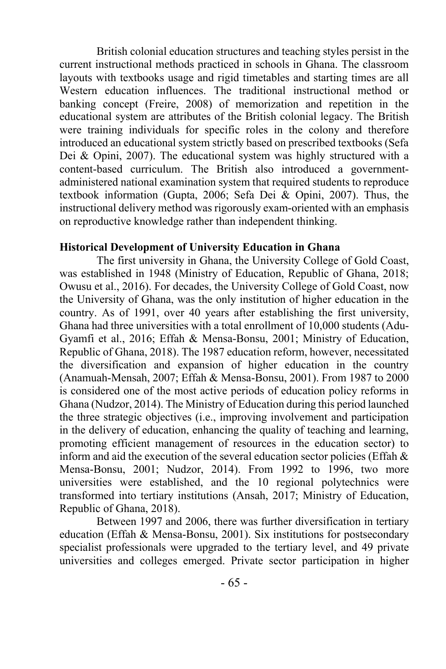British colonial education structures and teaching styles persist in the current instructional methods practiced in schools in Ghana. The classroom layouts with textbooks usage and rigid timetables and starting times are all Western education influences. The traditional instructional method or banking concept (Freire, 2008) of memorization and repetition in the educational system are attributes of the British colonial legacy. The British were training individuals for specific roles in the colony and therefore introduced an educational system strictly based on prescribed textbooks (Sefa Dei & Opini, 2007). The educational system was highly structured with a content-based curriculum. The British also introduced a governmentadministered national examination system that required students to reproduce textbook information (Gupta, 2006; Sefa Dei & Opini, 2007). Thus, the instructional delivery method was rigorously exam-oriented with an emphasis on reproductive knowledge rather than independent thinking.

## **Historical Development of University Education in Ghana**

The first university in Ghana, the University College of Gold Coast, was established in 1948 (Ministry of Education, Republic of Ghana, 2018; Owusu et al., 2016). For decades, the University College of Gold Coast, now the University of Ghana, was the only institution of higher education in the country. As of 1991, over 40 years after establishing the first university, Ghana had three universities with a total enrollment of 10,000 students (Adu-Gyamfi et al., 2016; Effah & Mensa-Bonsu, 2001; Ministry of Education, Republic of Ghana, 2018). The 1987 education reform, however, necessitated the diversification and expansion of higher education in the country (Anamuah-Mensah, 2007; Effah & Mensa-Bonsu, 2001). From 1987 to 2000 is considered one of the most active periods of education policy reforms in Ghana (Nudzor, 2014). The Ministry of Education during this period launched the three strategic objectives (i.e., improving involvement and participation in the delivery of education, enhancing the quality of teaching and learning, promoting efficient management of resources in the education sector) to inform and aid the execution of the several education sector policies (Effah  $\&$ Mensa-Bonsu, 2001; Nudzor, 2014). From 1992 to 1996, two more universities were established, and the 10 regional polytechnics were transformed into tertiary institutions (Ansah, 2017; Ministry of Education, Republic of Ghana, 2018).

Between 1997 and 2006, there was further diversification in tertiary education (Effah & Mensa-Bonsu, 2001). Six institutions for postsecondary specialist professionals were upgraded to the tertiary level, and 49 private universities and colleges emerged. Private sector participation in higher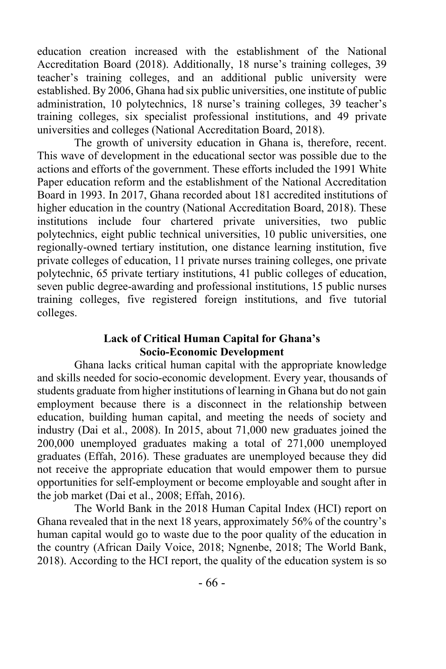education creation increased with the establishment of the National Accreditation Board (2018). Additionally, 18 nurse's training colleges, 39 teacher's training colleges, and an additional public university were established. By 2006, Ghana had six public universities, one institute of public administration, 10 polytechnics, 18 nurse's training colleges, 39 teacher's training colleges, six specialist professional institutions, and 49 private universities and colleges (National Accreditation Board, 2018).

The growth of university education in Ghana is, therefore, recent. This wave of development in the educational sector was possible due to the actions and efforts of the government. These efforts included the 1991 White Paper education reform and the establishment of the National Accreditation Board in 1993. In 2017, Ghana recorded about 181 accredited institutions of higher education in the country (National Accreditation Board, 2018). These institutions include four chartered private universities, two public polytechnics, eight public technical universities, 10 public universities, one regionally-owned tertiary institution, one distance learning institution, five private colleges of education, 11 private nurses training colleges, one private polytechnic, 65 private tertiary institutions, 41 public colleges of education, seven public degree-awarding and professional institutions, 15 public nurses training colleges, five registered foreign institutions, and five tutorial colleges.

## **Lack of Critical Human Capital for Ghana's Socio-Economic Development**

Ghana lacks critical human capital with the appropriate knowledge and skills needed for socio-economic development. Every year, thousands of students graduate from higher institutions of learning in Ghana but do not gain employment because there is a disconnect in the relationship between education, building human capital, and meeting the needs of society and industry (Dai et al., 2008). In 2015, about 71,000 new graduates joined the 200,000 unemployed graduates making a total of 271,000 unemployed graduates (Effah, 2016). These graduates are unemployed because they did not receive the appropriate education that would empower them to pursue opportunities for self-employment or become employable and sought after in the job market (Dai et al., 2008; Effah, 2016).

The World Bank in the 2018 Human Capital Index (HCI) report on Ghana revealed that in the next 18 years, approximately 56% of the country's human capital would go to waste due to the poor quality of the education in the country (African Daily Voice, 2018; Ngnenbe, 2018; The World Bank, 2018). According to the HCI report, the quality of the education system is so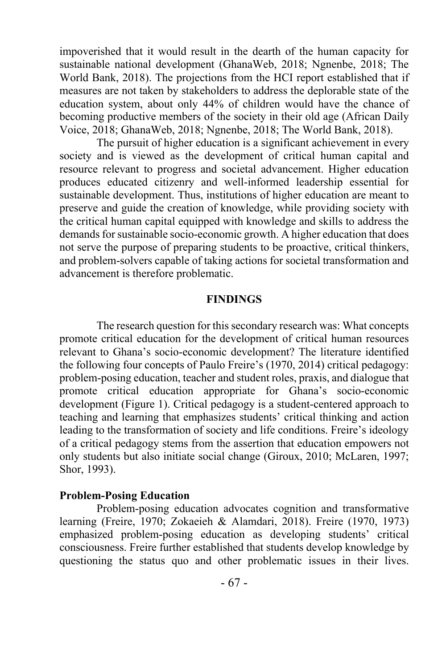impoverished that it would result in the dearth of the human capacity for sustainable national development (GhanaWeb, 2018; Ngnenbe, 2018; The World Bank, 2018). The projections from the HCI report established that if measures are not taken by stakeholders to address the deplorable state of the education system, about only 44% of children would have the chance of becoming productive members of the society in their old age (African Daily Voice, 2018; GhanaWeb, 2018; Ngnenbe, 2018; The World Bank, 2018).

The pursuit of higher education is a significant achievement in every society and is viewed as the development of critical human capital and resource relevant to progress and societal advancement. Higher education produces educated citizenry and well-informed leadership essential for sustainable development. Thus, institutions of higher education are meant to preserve and guide the creation of knowledge, while providing society with the critical human capital equipped with knowledge and skills to address the demands for sustainable socio-economic growth. A higher education that does not serve the purpose of preparing students to be proactive, critical thinkers, and problem-solvers capable of taking actions for societal transformation and advancement is therefore problematic.

#### **FINDINGS**

The research question for this secondary research was: What concepts promote critical education for the development of critical human resources relevant to Ghana's socio-economic development? The literature identified the following four concepts of Paulo Freire's (1970, 2014) critical pedagogy: problem-posing education, teacher and student roles, praxis, and dialogue that promote critical education appropriate for Ghana's socio-economic development (Figure 1). Critical pedagogy is a student-centered approach to teaching and learning that emphasizes students' critical thinking and action leading to the transformation of society and life conditions. Freire's ideology of a critical pedagogy stems from the assertion that education empowers not only students but also initiate social change (Giroux, 2010; McLaren, 1997; Shor, 1993).

#### **Problem-Posing Education**

Problem-posing education advocates cognition and transformative learning (Freire, 1970; Zokaeieh & Alamdari, 2018). Freire (1970, 1973) emphasized problem-posing education as developing students' critical consciousness. Freire further established that students develop knowledge by questioning the status quo and other problematic issues in their lives.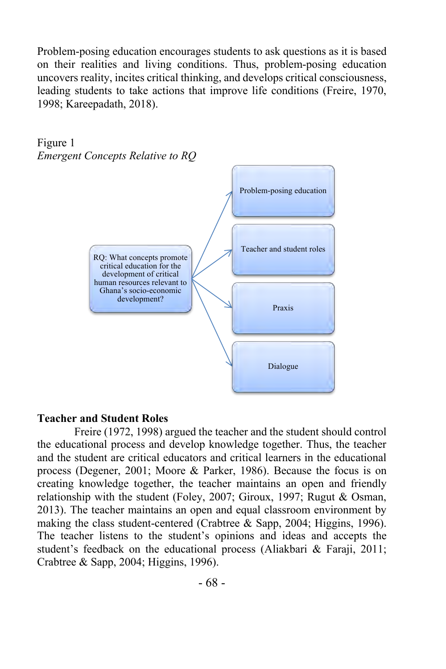Problem-posing education encourages students to ask questions as it is based on their realities and living conditions. Thus, problem-posing education uncovers reality, incites critical thinking, and develops critical consciousness, leading students to take actions that improve life conditions (Freire, 1970, 1998; Kareepadath, 2018).



### **Teacher and Student Roles**

Freire (1972, 1998) argued the teacher and the student should control the educational process and develop knowledge together. Thus, the teacher and the student are critical educators and critical learners in the educational process (Degener, 2001; Moore & Parker, 1986). Because the focus is on creating knowledge together, the teacher maintains an open and friendly relationship with the student (Foley, 2007; Giroux, 1997; Rugut & Osman, 2013). The teacher maintains an open and equal classroom environment by making the class student-centered (Crabtree & Sapp, 2004; Higgins, 1996). The teacher listens to the student's opinions and ideas and accepts the student's feedback on the educational process (Aliakbari & Faraji, 2011; Crabtree & Sapp, 2004; Higgins, 1996).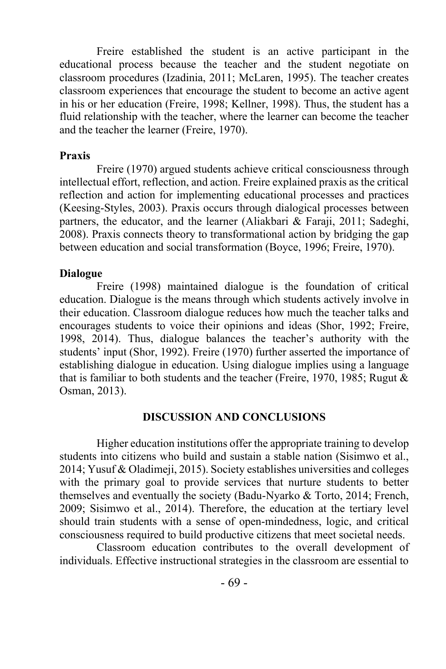Freire established the student is an active participant in the educational process because the teacher and the student negotiate on classroom procedures (Izadinia, 2011; McLaren, 1995). The teacher creates classroom experiences that encourage the student to become an active agent in his or her education (Freire, 1998; Kellner, 1998). Thus, the student has a fluid relationship with the teacher, where the learner can become the teacher and the teacher the learner (Freire, 1970).

### **Praxis**

Freire (1970) argued students achieve critical consciousness through intellectual effort, reflection, and action. Freire explained praxis as the critical reflection and action for implementing educational processes and practices (Keesing-Styles, 2003). Praxis occurs through dialogical processes between partners, the educator, and the learner (Aliakbari & Faraji, 2011; Sadeghi, 2008). Praxis connects theory to transformational action by bridging the gap between education and social transformation (Boyce, 1996; Freire, 1970).

#### **Dialogue**

Freire (1998) maintained dialogue is the foundation of critical education. Dialogue is the means through which students actively involve in their education. Classroom dialogue reduces how much the teacher talks and encourages students to voice their opinions and ideas (Shor, 1992; Freire, 1998, 2014). Thus, dialogue balances the teacher's authority with the students' input (Shor, 1992). Freire (1970) further asserted the importance of establishing dialogue in education. Using dialogue implies using a language that is familiar to both students and the teacher (Freire, 1970, 1985; Rugut & Osman, 2013).

#### **DISCUSSION AND CONCLUSIONS**

Higher education institutions offer the appropriate training to develop students into citizens who build and sustain a stable nation (Sisimwo et al., 2014; Yusuf & Oladimeji, 2015). Society establishes universities and colleges with the primary goal to provide services that nurture students to better themselves and eventually the society (Badu-Nyarko & Torto, 2014; French, 2009; Sisimwo et al., 2014). Therefore, the education at the tertiary level should train students with a sense of open-mindedness, logic, and critical consciousness required to build productive citizens that meet societal needs.

Classroom education contributes to the overall development of individuals. Effective instructional strategies in the classroom are essential to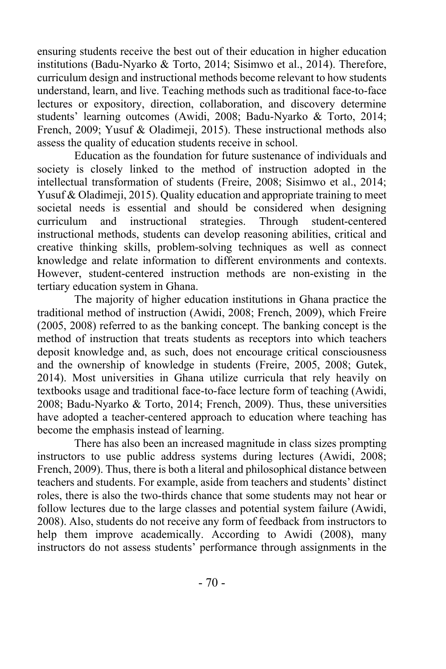ensuring students receive the best out of their education in higher education institutions (Badu-Nyarko & Torto, 2014; Sisimwo et al., 2014). Therefore, curriculum design and instructional methods become relevant to how students understand, learn, and live. Teaching methods such as traditional face-to-face lectures or expository, direction, collaboration, and discovery determine students' learning outcomes (Awidi, 2008; Badu-Nyarko & Torto, 2014; French, 2009; Yusuf & Oladimeji, 2015). These instructional methods also assess the quality of education students receive in school.

Education as the foundation for future sustenance of individuals and society is closely linked to the method of instruction adopted in the intellectual transformation of students (Freire, 2008; Sisimwo et al., 2014; Yusuf & Oladimeji, 2015). Quality education and appropriate training to meet societal needs is essential and should be considered when designing curriculum and instructional strategies. Through student-centered instructional methods, students can develop reasoning abilities, critical and creative thinking skills, problem-solving techniques as well as connect knowledge and relate information to different environments and contexts. However, student-centered instruction methods are non-existing in the tertiary education system in Ghana.

The majority of higher education institutions in Ghana practice the traditional method of instruction (Awidi, 2008; French, 2009), which Freire (2005, 2008) referred to as the banking concept. The banking concept is the method of instruction that treats students as receptors into which teachers deposit knowledge and, as such, does not encourage critical consciousness and the ownership of knowledge in students (Freire, 2005, 2008; Gutek, 2014). Most universities in Ghana utilize curricula that rely heavily on textbooks usage and traditional face-to-face lecture form of teaching (Awidi, 2008; Badu-Nyarko & Torto, 2014; French, 2009). Thus, these universities have adopted a teacher-centered approach to education where teaching has become the emphasis instead of learning.

There has also been an increased magnitude in class sizes prompting instructors to use public address systems during lectures (Awidi, 2008; French, 2009). Thus, there is both a literal and philosophical distance between teachers and students. For example, aside from teachers and students' distinct roles, there is also the two-thirds chance that some students may not hear or follow lectures due to the large classes and potential system failure (Awidi, 2008). Also, students do not receive any form of feedback from instructors to help them improve academically. According to Awidi (2008), many instructors do not assess students' performance through assignments in the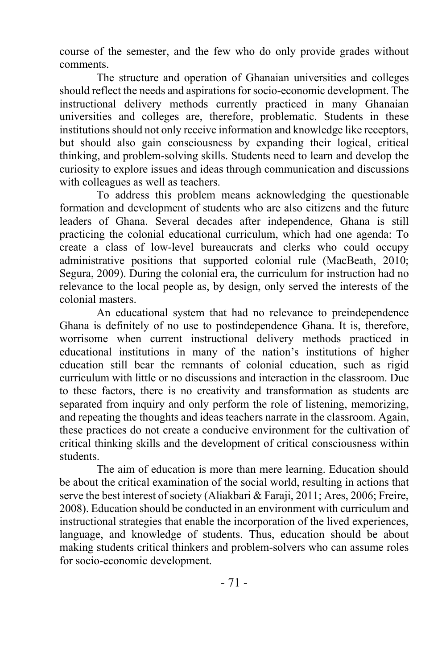course of the semester, and the few who do only provide grades without comments.

The structure and operation of Ghanaian universities and colleges should reflect the needs and aspirations for socio-economic development. The instructional delivery methods currently practiced in many Ghanaian universities and colleges are, therefore, problematic. Students in these institutions should not only receive information and knowledge like receptors, but should also gain consciousness by expanding their logical, critical thinking, and problem-solving skills. Students need to learn and develop the curiosity to explore issues and ideas through communication and discussions with colleagues as well as teachers.

To address this problem means acknowledging the questionable formation and development of students who are also citizens and the future leaders of Ghana. Several decades after independence, Ghana is still practicing the colonial educational curriculum, which had one agenda: To create a class of low-level bureaucrats and clerks who could occupy administrative positions that supported colonial rule (MacBeath, 2010; Segura, 2009). During the colonial era, the curriculum for instruction had no relevance to the local people as, by design, only served the interests of the colonial masters.

An educational system that had no relevance to preindependence Ghana is definitely of no use to postindependence Ghana. It is, therefore, worrisome when current instructional delivery methods practiced in educational institutions in many of the nation's institutions of higher education still bear the remnants of colonial education, such as rigid curriculum with little or no discussions and interaction in the classroom. Due to these factors, there is no creativity and transformation as students are separated from inquiry and only perform the role of listening, memorizing, and repeating the thoughts and ideas teachers narrate in the classroom. Again, these practices do not create a conducive environment for the cultivation of critical thinking skills and the development of critical consciousness within students.

The aim of education is more than mere learning. Education should be about the critical examination of the social world, resulting in actions that serve the best interest of society (Aliakbari & Faraji, 2011; Ares, 2006; Freire, 2008). Education should be conducted in an environment with curriculum and instructional strategies that enable the incorporation of the lived experiences, language, and knowledge of students. Thus, education should be about making students critical thinkers and problem-solvers who can assume roles for socio-economic development.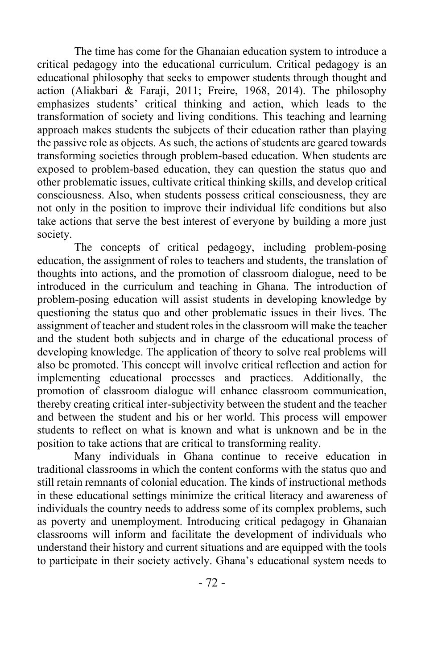The time has come for the Ghanaian education system to introduce a critical pedagogy into the educational curriculum. Critical pedagogy is an educational philosophy that seeks to empower students through thought and action (Aliakbari & Faraji, 2011; Freire, 1968, 2014). The philosophy emphasizes students' critical thinking and action, which leads to the transformation of society and living conditions. This teaching and learning approach makes students the subjects of their education rather than playing the passive role as objects. As such, the actions of students are geared towards transforming societies through problem-based education. When students are exposed to problem-based education, they can question the status quo and other problematic issues, cultivate critical thinking skills, and develop critical consciousness. Also, when students possess critical consciousness, they are not only in the position to improve their individual life conditions but also take actions that serve the best interest of everyone by building a more just society.

The concepts of critical pedagogy, including problem-posing education, the assignment of roles to teachers and students, the translation of thoughts into actions, and the promotion of classroom dialogue, need to be introduced in the curriculum and teaching in Ghana. The introduction of problem-posing education will assist students in developing knowledge by questioning the status quo and other problematic issues in their lives. The assignment of teacher and student roles in the classroom will make the teacher and the student both subjects and in charge of the educational process of developing knowledge. The application of theory to solve real problems will also be promoted. This concept will involve critical reflection and action for implementing educational processes and practices. Additionally, the promotion of classroom dialogue will enhance classroom communication, thereby creating critical inter-subjectivity between the student and the teacher and between the student and his or her world. This process will empower students to reflect on what is known and what is unknown and be in the position to take actions that are critical to transforming reality.

Many individuals in Ghana continue to receive education in traditional classrooms in which the content conforms with the status quo and still retain remnants of colonial education. The kinds of instructional methods in these educational settings minimize the critical literacy and awareness of individuals the country needs to address some of its complex problems, such as poverty and unemployment. Introducing critical pedagogy in Ghanaian classrooms will inform and facilitate the development of individuals who understand their history and current situations and are equipped with the tools to participate in their society actively. Ghana's educational system needs to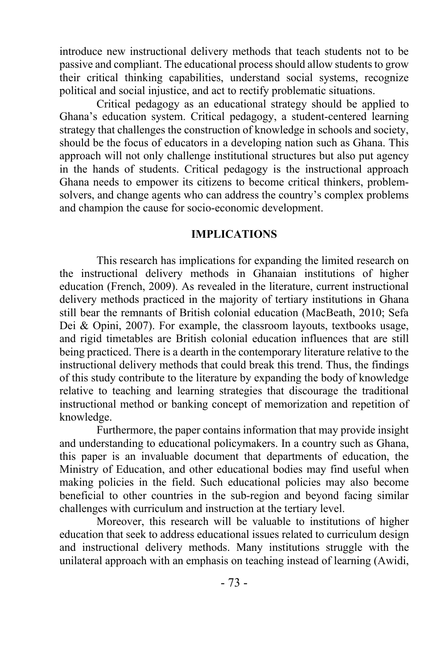introduce new instructional delivery methods that teach students not to be passive and compliant. The educational process should allow students to grow their critical thinking capabilities, understand social systems, recognize political and social injustice, and act to rectify problematic situations.

Critical pedagogy as an educational strategy should be applied to Ghana's education system. Critical pedagogy, a student-centered learning strategy that challenges the construction of knowledge in schools and society, should be the focus of educators in a developing nation such as Ghana. This approach will not only challenge institutional structures but also put agency in the hands of students. Critical pedagogy is the instructional approach Ghana needs to empower its citizens to become critical thinkers, problemsolvers, and change agents who can address the country's complex problems and champion the cause for socio-economic development.

## **IMPLICATIONS**

This research has implications for expanding the limited research on the instructional delivery methods in Ghanaian institutions of higher education (French, 2009). As revealed in the literature, current instructional delivery methods practiced in the majority of tertiary institutions in Ghana still bear the remnants of British colonial education (MacBeath, 2010; Sefa Dei & Opini, 2007). For example, the classroom layouts, textbooks usage, and rigid timetables are British colonial education influences that are still being practiced. There is a dearth in the contemporary literature relative to the instructional delivery methods that could break this trend. Thus, the findings of this study contribute to the literature by expanding the body of knowledge relative to teaching and learning strategies that discourage the traditional instructional method or banking concept of memorization and repetition of knowledge.

Furthermore, the paper contains information that may provide insight and understanding to educational policymakers. In a country such as Ghana, this paper is an invaluable document that departments of education, the Ministry of Education, and other educational bodies may find useful when making policies in the field. Such educational policies may also become beneficial to other countries in the sub-region and beyond facing similar challenges with curriculum and instruction at the tertiary level.

Moreover, this research will be valuable to institutions of higher education that seek to address educational issues related to curriculum design and instructional delivery methods. Many institutions struggle with the unilateral approach with an emphasis on teaching instead of learning (Awidi,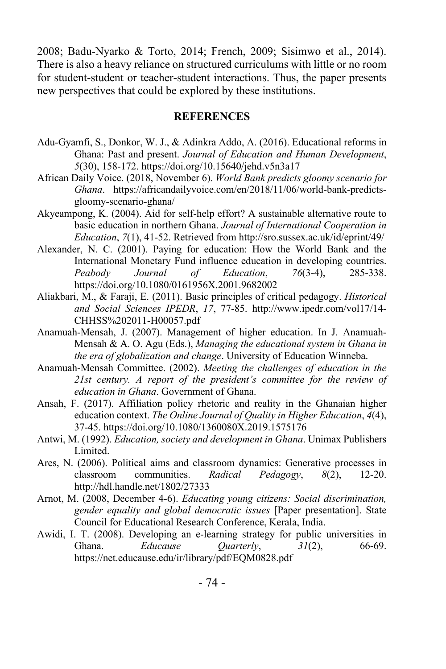2008; Badu-Nyarko & Torto, 2014; French, 2009; Sisimwo et al., 2014). There is also a heavy reliance on structured curriculums with little or no room for student-student or teacher-student interactions. Thus, the paper presents new perspectives that could be explored by these institutions.

## **REFERENCES**

- Adu-Gyamfi, S., Donkor, W. J., & Adinkra Addo, A. (2016). Educational reforms in Ghana: Past and present. *Journal of Education and Human Development*, *5*(30), 158-172. https://doi.org/10.15640/jehd.v5n3a17
- African Daily Voice. (2018, November 6). *World Bank predicts gloomy scenario for Ghana*. https://africandailyvoice.com/en/2018/11/06/world-bank-predictsgloomy-scenario-ghana/
- Akyeampong, K. (2004). Aid for self-help effort? A sustainable alternative route to basic education in northern Ghana. *Journal of International Cooperation in Education*, *7*(1), 41-52. Retrieved from http://sro.sussex.ac.uk/id/eprint/49/
- Alexander, N. C. (2001). Paying for education: How the World Bank and the International Monetary Fund influence education in developing countries. *Peabody Journal of Education*, *76*(3-4), 285-338. https://doi.org/10.1080/0161956X.2001.9682002
- Aliakbari, M., & Faraji, E. (2011). Basic principles of critical pedagogy. *Historical and Social Sciences IPEDR*, *17*, 77-85. http://www.ipedr.com/vol17/14- CHHSS%202011-H00057.pdf
- Anamuah-Mensah, J. (2007). Management of higher education. In J. Anamuah-Mensah & A. O. Agu (Eds.), *Managing the educational system in Ghana in the era of globalization and change*. University of Education Winneba.
- Anamuah-Mensah Committee. (2002). *Meeting the challenges of education in the 21st century. A report of the president's committee for the review of education in Ghana*. Government of Ghana.
- Ansah, F. (2017). Affiliation policy rhetoric and reality in the Ghanaian higher education context. *The Online Journal of Quality in Higher Education*, *4*(4), 37-45. https://doi.org/10.1080/1360080X.2019.1575176
- Antwi, M. (1992). *Education, society and development in Ghana*. Unimax Publishers Limited.
- Ares, N. (2006). Political aims and classroom dynamics: Generative processes in classroom communities. *Radical Pedagogy*, *8*(2), 12-20. http://hdl.handle.net/1802/27333
- Arnot, M. (2008, December 4-6). *Educating young citizens: Social discrimination, gender equality and global democratic issues* [Paper presentation]. State Council for Educational Research Conference, Kerala, India.
- Awidi, I. T. (2008). Developing an e-learning strategy for public universities in Ghana. *Educause Quarterly*, *31*(2), 66-69. https://net.educause.edu/ir/library/pdf/EQM0828.pdf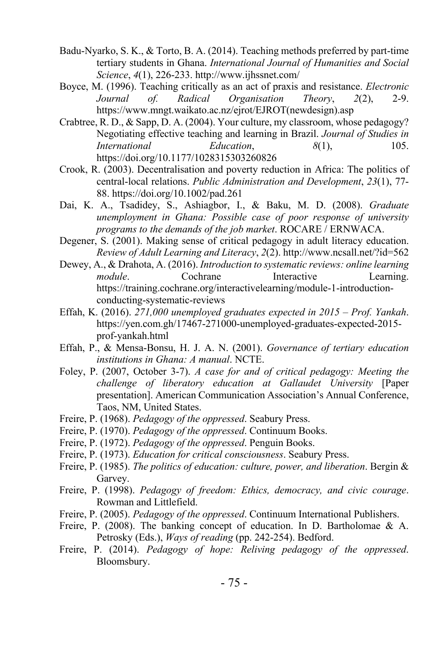- Badu-Nyarko, S. K., & Torto, B. A. (2014). Teaching methods preferred by part-time tertiary students in Ghana. *International Journal of Humanities and Social Science*, *4*(1), 226-233. http://www.ijhssnet.com/
- Boyce, M. (1996). Teaching critically as an act of praxis and resistance. *Electronic Journal of. Radical Organisation Theory*, *2*(2), 2-9. https://www.mngt.waikato.ac.nz/ejrot/EJROT(newdesign).asp
- Crabtree, R. D., & Sapp, D. A. (2004). Your culture, my classroom, whose pedagogy? Negotiating effective teaching and learning in Brazil. *Journal of Studies in International Education*,  $\frac{8(1)}{2}$  105. https://doi.org/10.1177/1028315303260826
- Crook, R. (2003). Decentralisation and poverty reduction in Africa: The politics of central-local relations. *Public Administration and Development*, *23*(1), 77- 88. https://doi.org/10.1002/pad.261
- Dai, K. A., Tsadidey, S., Ashiagbor, I., & Baku, M. D. (2008). *Graduate unemployment in Ghana: Possible case of poor response of university programs to the demands of the job market*. ROCARE / ERNWACA.
- Degener, S. (2001). Making sense of critical pedagogy in adult literacy education. *Review of Adult Learning and Literacy*, *2*(2). http://www.ncsall.net/?id=562
- Dewey, A., & Drahota, A. (2016). *Introduction to systematic reviews: online learning module.* Cochrane Interactive Learning. https://training.cochrane.org/interactivelearning/module-1-introductionconducting-systematic-reviews
- Effah, K. (2016). *271,000 unemployed graduates expected in 2015 – Prof. Yankah*. https://yen.com.gh/17467-271000-unemployed-graduates-expected-2015 prof-yankah.html
- Effah, P., & Mensa-Bonsu, H. J. A. N. (2001). *Governance of tertiary education institutions in Ghana: A manual*. NCTE.
- Foley, P. (2007, October 3-7). *A case for and of critical pedagogy: Meeting the challenge of liberatory education at Gallaudet University* [Paper presentation]. American Communication Association's Annual Conference, Taos, NM, United States.
- Freire, P. (1968). *Pedagogy of the oppressed*. Seabury Press.
- Freire, P. (1970). *Pedagogy of the oppressed*. Continuum Books.
- Freire, P. (1972). *Pedagogy of the oppressed*. Penguin Books.
- Freire, P. (1973). *Education for critical consciousness*. Seabury Press.
- Freire, P. (1985). *The politics of education: culture, power, and liberation*. Bergin & Garvey.
- Freire, P. (1998). *Pedagogy of freedom: Ethics, democracy, and civic courage*. Rowman and Littlefield.
- Freire, P. (2005). *Pedagogy of the oppressed*. Continuum International Publishers.
- Freire, P. (2008). The banking concept of education. In D. Bartholomae & A. Petrosky (Eds.), *Ways of reading* (pp. 242-254). Bedford.
- Freire, P. (2014). *Pedagogy of hope: Reliving pedagogy of the oppressed*. Bloomsbury.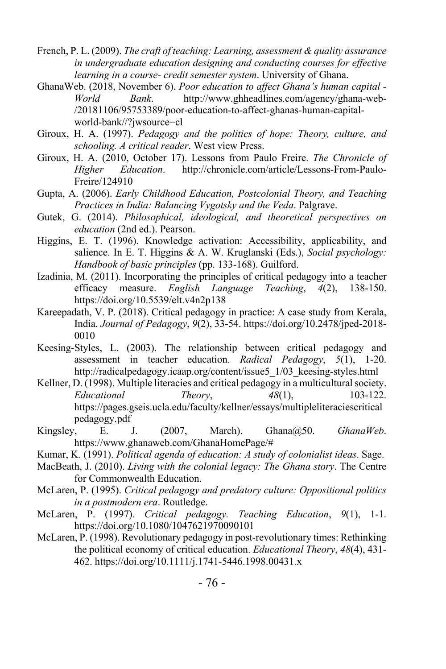- French, P. L. (2009). *The craft of teaching: Learning, assessment & quality assurance in undergraduate education designing and conducting courses for effective learning in a course- credit semester system*. University of Ghana.
- GhanaWeb. (2018, November 6). *Poor education to affect Ghana's human capital - World Bank*. http://www.ghheadlines.com/agency/ghana-web- /20181106/95753389/poor-education-to-affect-ghanas-human-capitalworld-bank//?jwsource=cl
- Giroux, H. A. (1997). *Pedagogy and the politics of hope: Theory, culture, and schooling. A critical reader*. West view Press.
- Giroux, H. A. (2010, October 17). Lessons from Paulo Freire. *The Chronicle of Higher Education*. http://chronicle.com/article/Lessons-From-Paulo-Freire/124910
- Gupta, A. (2006). *Early Childhood Education, Postcolonial Theory, and Teaching Practices in India: Balancing Vygotsky and the Veda*. Palgrave.
- Gutek, G. (2014). *Philosophical, ideological, and theoretical perspectives on education* (2nd ed.). Pearson.
- Higgins, E. T. (1996). Knowledge activation: Accessibility, applicability, and salience. In E. T. Higgins & A. W. Kruglanski (Eds.), *Social psychology: Handbook of basic principles* (pp. 133-168). Guilford.
- Izadinia, M. (2011). Incorporating the principles of critical pedagogy into a teacher efficacy measure. *English Language Teaching*, *4*(2), 138-150. https://doi.org/10.5539/elt.v4n2p138
- Kareepadath, V. P. (2018). Critical pedagogy in practice: A case study from Kerala, India. *Journal of Pedagogy*, *9*(2), 33-54. https://doi.org/10.2478/jped-2018- 0010
- Keesing-Styles, L. (2003). The relationship between critical pedagogy and assessment in teacher education. *Radical Pedagogy*, *5*(1), 1-20. http://radicalpedagogy.icaap.org/content/issue5\_1/03\_keesing-styles.html
- Kellner, D. (1998). Multiple literacies and critical pedagogy in a multicultural society. *Educational Theory*, *48*(1), 103-122. https://pages.gseis.ucla.edu/faculty/kellner/essays/multipleliteraciescritical pedagogy.pdf
- Kingsley, E. J. (2007, March). Ghana@50. *GhanaWeb*. https://www.ghanaweb.com/GhanaHomePage/#
- Kumar, K. (1991). *Political agenda of education: A study of colonialist ideas*. Sage.
- MacBeath, J. (2010). *Living with the colonial legacy: The Ghana story*. The Centre for Commonwealth Education.
- McLaren, P. (1995). *Critical pedagogy and predatory culture: Oppositional politics in a postmodern era*. Routledge.
- McLaren, P. (1997). *Critical pedagogy. Teaching Education*, *9*(1), 1-1. https://doi.org/10.1080/1047621970090101
- McLaren, P. (1998). Revolutionary pedagogy in post-revolutionary times: Rethinking the political economy of critical education. *Educational Theory*, *48*(4), 431- 462. https://doi.org/10.1111/j.1741-5446.1998.00431.x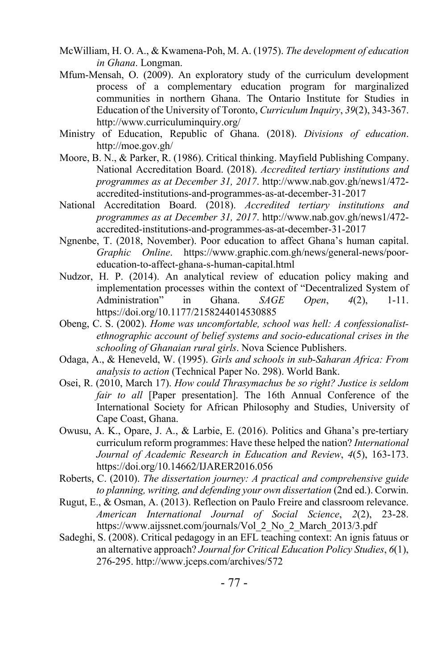- McWilliam, H. O. A., & Kwamena-Poh, M. A. (1975). *The development of education in Ghana*. Longman.
- Mfum-Mensah, O. (2009). An exploratory study of the curriculum development process of a complementary education program for marginalized communities in northern Ghana. The Ontario Institute for Studies in Education of the University of Toronto, *Curriculum Inquiry*, *39*(2), 343-367. http://www.curriculuminquiry.org/
- Ministry of Education, Republic of Ghana. (2018). *Divisions of education*. http://moe.gov.gh/
- Moore, B. N., & Parker, R. (1986). Critical thinking. Mayfield Publishing Company. National Accreditation Board. (2018). *Accredited tertiary institutions and programmes as at December 31, 2017*. http://www.nab.gov.gh/news1/472 accredited-institutions-and-programmes-as-at-december-31-2017
- National Accreditation Board. (2018). *Accredited tertiary institutions and programmes as at December 31, 2017*. http://www.nab.gov.gh/news1/472 accredited-institutions-and-programmes-as-at-december-31-2017
- Ngnenbe, T. (2018, November). Poor education to affect Ghana's human capital. *Graphic Online*. https://www.graphic.com.gh/news/general-news/pooreducation-to-affect-ghana-s-human-capital.html
- Nudzor, H. P. (2014). An analytical review of education policy making and implementation processes within the context of "Decentralized System of Administration" in Ghana. *SAGE Open*, *4*(2), 1-11. https://doi.org/10.1177/2158244014530885
- Obeng, C. S. (2002). *Home was uncomfortable, school was hell: A confessionalistethnographic account of belief systems and socio-educational crises in the schooling of Ghanaian rural girls*. Nova Science Publishers.
- Odaga, A., & Heneveld, W. (1995). *Girls and schools in sub-Saharan Africa: From analysis to action* (Technical Paper No. 298). World Bank.
- Osei, R. (2010, March 17). *How could Thrasymachus be so right? Justice is seldom fair to all* [Paper presentation]. The 16th Annual Conference of the International Society for African Philosophy and Studies, University of Cape Coast, Ghana.
- Owusu, A. K., Opare, J. A., & Larbie, E. (2016). Politics and Ghana's pre-tertiary curriculum reform programmes: Have these helped the nation? *International Journal of Academic Research in Education and Review*, *4*(5), 163-173. https://doi.org/10.14662/IJARER2016.056
- Roberts, C. (2010). *The dissertation journey: A practical and comprehensive guide to planning, writing, and defending your own dissertation* (2nd ed.). Corwin.
- Rugut, E., & Osman, A. (2013). Reflection on Paulo Freire and classroom relevance. *American International Journal of Social Science*, *2*(2), 23-28. https://www.aijssnet.com/journals/Vol\_2\_No\_2\_March\_2013/3.pdf
- Sadeghi, S. (2008). Critical pedagogy in an EFL teaching context: An ignis fatuus or an alternative approach? *Journal for Critical Education Policy Studies*, *6*(1), 276-295. http://www.jceps.com/archives/572